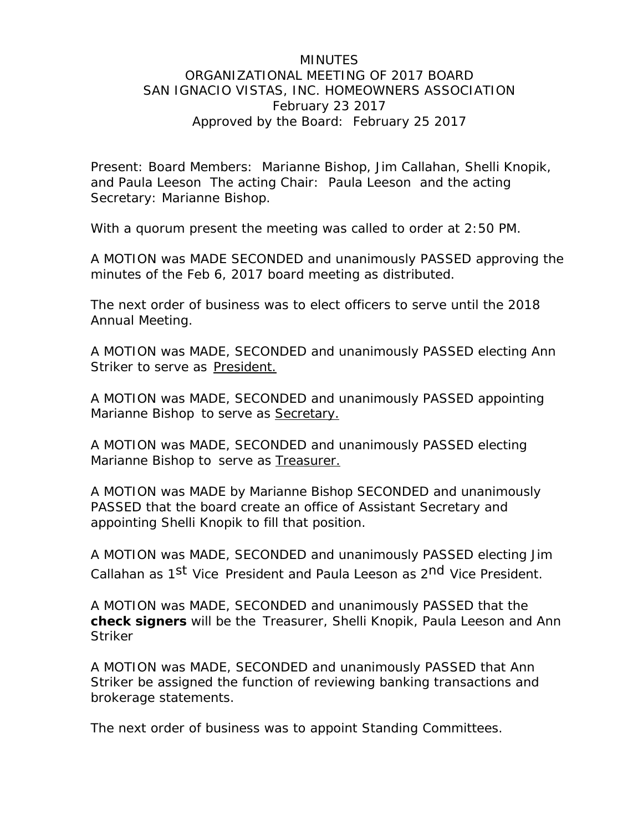## MINUTES ORGANIZATIONAL MEETING OF 2017 BOARD SAN IGNACIO VISTAS, INC. HOMEOWNERS ASSOCIATION February 23 2017 Approved by the Board: February 25 2017

Present: Board Members: Marianne Bishop, Jim Callahan, Shelli Knopik, and Paula Leeson The acting Chair: Paula Leeson and the acting Secretary: Marianne Bishop.

With a quorum present the meeting was called to order at 2:50 PM.

A MOTION was MADE SECONDED and unanimously PASSED approving the minutes of the Feb 6, 2017 board meeting as distributed.

The next order of business was to elect officers to serve until the 2018 Annual Meeting.

A MOTION was MADE, SECONDED and unanimously PASSED electing Ann Striker to serve as President.

A MOTION was MADE, SECONDED and unanimously PASSED appointing Marianne Bishop to serve as Secretary.

A MOTION was MADE, SECONDED and unanimously PASSED electing Marianne Bishop to serve as Treasurer.

A MOTION was MADE by Marianne Bishop SECONDED and unanimously PASSED that the board create an office of Assistant Secretary and appointing Shelli Knopik to fill that position.

A MOTION was MADE, SECONDED and unanimously PASSED electing Jim Callahan as 1<sup>st</sup> Vice President and Paula Leeson as 2<sup>nd</sup> Vice President.

A MOTION was MADE, SECONDED and unanimously PASSED that the **check signers** will be the Treasurer, Shelli Knopik, Paula Leeson and Ann **Striker** 

A MOTION was MADE, SECONDED and unanimously PASSED that Ann Striker be assigned the function of reviewing banking transactions and brokerage statements.

The next order of business was to appoint Standing Committees.